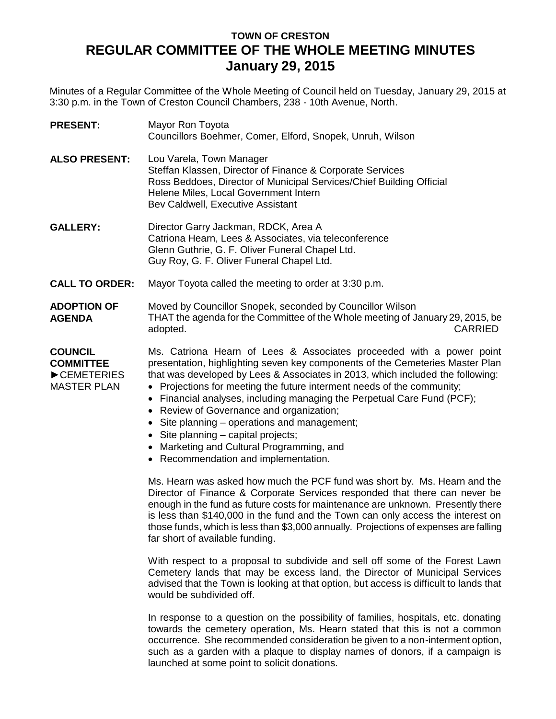## **TOWN OF CRESTON REGULAR COMMITTEE OF THE WHOLE MEETING MINUTES January 29, 2015**

Minutes of a Regular Committee of the Whole Meeting of Council held on Tuesday, January 29, 2015 at 3:30 p.m. in the Town of Creston Council Chambers, 238 - 10th Avenue, North.

| <b>PRESENT:</b>                                                        | Mayor Ron Toyota<br>Councillors Boehmer, Comer, Elford, Snopek, Unruh, Wilson                                                                                                                                                                                                                                                                                                                                                                                                                                                                                                                                        |
|------------------------------------------------------------------------|----------------------------------------------------------------------------------------------------------------------------------------------------------------------------------------------------------------------------------------------------------------------------------------------------------------------------------------------------------------------------------------------------------------------------------------------------------------------------------------------------------------------------------------------------------------------------------------------------------------------|
| <b>ALSO PRESENT:</b>                                                   | Lou Varela, Town Manager<br>Steffan Klassen, Director of Finance & Corporate Services<br>Ross Beddoes, Director of Municipal Services/Chief Building Official<br>Helene Miles, Local Government Intern<br>Bev Caldwell, Executive Assistant                                                                                                                                                                                                                                                                                                                                                                          |
| <b>GALLERY:</b>                                                        | Director Garry Jackman, RDCK, Area A<br>Catriona Hearn, Lees & Associates, via teleconference<br>Glenn Guthrie, G. F. Oliver Funeral Chapel Ltd.<br>Guy Roy, G. F. Oliver Funeral Chapel Ltd.                                                                                                                                                                                                                                                                                                                                                                                                                        |
| <b>CALL TO ORDER:</b>                                                  | Mayor Toyota called the meeting to order at 3:30 p.m.                                                                                                                                                                                                                                                                                                                                                                                                                                                                                                                                                                |
| <b>ADOPTION OF</b><br><b>AGENDA</b>                                    | Moved by Councillor Snopek, seconded by Councillor Wilson<br>THAT the agenda for the Committee of the Whole meeting of January 29, 2015, be<br><b>CARRIED</b><br>adopted.                                                                                                                                                                                                                                                                                                                                                                                                                                            |
| <b>COUNCIL</b><br><b>COMMITTEE</b><br>CEMETERIES<br><b>MASTER PLAN</b> | Ms. Catriona Hearn of Lees & Associates proceeded with a power point<br>presentation, highlighting seven key components of the Cemeteries Master Plan<br>that was developed by Lees & Associates in 2013, which included the following:<br>• Projections for meeting the future interment needs of the community;<br>• Financial analyses, including managing the Perpetual Care Fund (PCF);<br>• Review of Governance and organization;<br>• Site planning – operations and management;<br>• Site planning – capital projects;<br>• Marketing and Cultural Programming, and<br>• Recommendation and implementation. |
|                                                                        | Ms. Hearn was asked how much the PCF fund was short by. Ms. Hearn and the<br>Director of Finance & Corporate Services responded that there can never be<br>enough in the fund as future costs for maintenance are unknown. Presently there<br>is less than \$140,000 in the fund and the Town can only access the interest on<br>those funds, which is less than \$3,000 annually. Projections of expenses are falling<br>far short of available funding.                                                                                                                                                            |
|                                                                        | With respect to a proposal to subdivide and sell off some of the Forest Lawn<br>Cemetery lands that may be excess land, the Director of Municipal Services<br>advised that the Town is looking at that option, but access is difficult to lands that<br>would be subdivided off.                                                                                                                                                                                                                                                                                                                                     |
|                                                                        | In response to a question on the possibility of families, hospitals, etc. donating<br>towards the cemetery operation, Ms. Hearn stated that this is not a common<br>occurrence. She recommended consideration be given to a non-interment option,<br>such as a garden with a plaque to display names of donors, if a campaign is                                                                                                                                                                                                                                                                                     |

launched at some point to solicit donations.